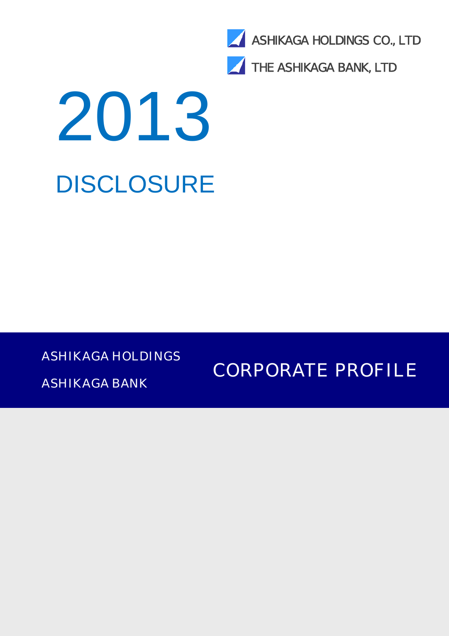

THE ASHIKAGA BANK, LTD

# 2013 DISCLOSURE

ASHIKAGA HOLDINGS

ASHIKAGA BANK

CORPORATE PROFILE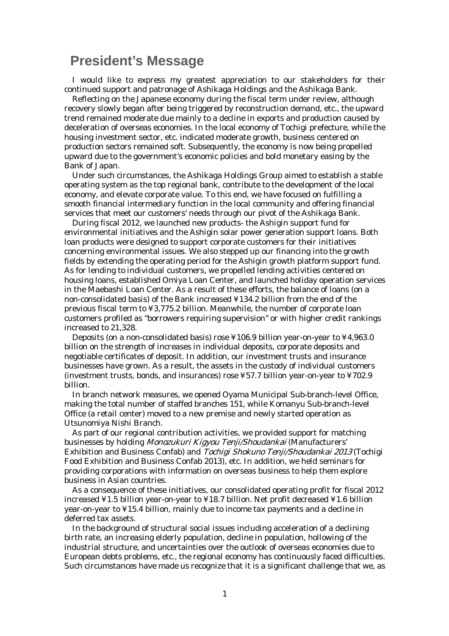# **President's Message**

 I would like to express my greatest appreciation to our stakeholders for their continued support and patronage of Ashikaga Holdings and the Ashikaga Bank.

Reflecting on the Japanese economy during the fiscal term under review, although recovery slowly began after being triggered by reconstruction demand, etc., the upward trend remained moderate due mainly to a decline in exports and production caused by deceleration of overseas economies. In the local economy of Tochigi prefecture, while the housing investment sector, etc. indicated moderate growth, business centered on production sectors remained soft. Subsequently, the economy is now being propelled upward due to the government's economic policies and bold monetary easing by the Bank of Japan.

Under such circumstances, the Ashikaga Holdings Group aimed to establish a stable operating system as the top regional bank, contribute to the development of the local economy, and elevate corporate value. To this end, we have focused on fulfilling a smooth financial intermediary function in the local community and offering financial services that meet our customers' needs through our pivot of the Ashikaga Bank.

During fiscal 2012, we launched new products- the Ashigin support fund for environmental initiatives and the Ashigin solar power generation support loans. Both loan products were designed to support corporate customers for their initiatives concerning environmental issues. We also stepped up our financing into the growth fields by extending the operating period for the Ashigin growth platform support fund. As for lending to individual customers, we propelled lending activities centered on housing loans, established Omiya Loan Center, and launched holiday operation services in the Maebashi Loan Center. As a result of these efforts, the balance of loans (on a non-consolidated basis) of the Bank increased ¥134.2 billion from the end of the previous fiscal term to ¥3,775.2 billion. Meanwhile, the number of corporate loan customers profiled as "borrowers requiring supervision" or with higher credit rankings increased to 21,328.

Deposits (on a non-consolidated basis) rose ¥106.9 billion year-on-year to ¥4,963.0 billion on the strength of increases in individual deposits, corporate deposits and negotiable certificates of deposit. In addition, our investment trusts and insurance businesses have grown. As a result, the assets in the custody of individual customers (investment trusts, bonds, and insurances) rose ¥57.7 billion year-on-year to ¥702.9 billion.

In branch network measures, we opened Oyama Municipal Sub-branch-level Office, making the total number of staffed branches 151, while Komanyu Sub-branch-level Office (a retail center) moved to a new premise and newly started operation as Utsunomiya Nishi Branch.

As part of our regional contribution activities, we provided support for matching businesses by holding Monozukuri Kigyou Tenji/Shoudankai (Manufacturers' Exhibition and Business Confab) and Tochigi Shokuno Tenji/Shoudankai 2013 (Tochigi Food Exhibition and Business Confab 2013), etc. In addition, we held seminars for providing corporations with information on overseas business to help them explore business in Asian countries.

As a consequence of these initiatives, our consolidated operating profit for fiscal 2012 increased ¥1.5 billion year-on-year to ¥18.7 billion. Net profit decreased ¥1.6 billion year-on-year to ¥15.4 billion, mainly due to income tax payments and a decline in deferred tax assets.

In the background of structural social issues including acceleration of a declining birth rate, an increasing elderly population, decline in population, hollowing of the industrial structure, and uncertainties over the outlook of overseas economies due to European debts problems, etc., the regional economy has continuously faced difficulties. Such circumstances have made us recognize that it is a significant challenge that we, as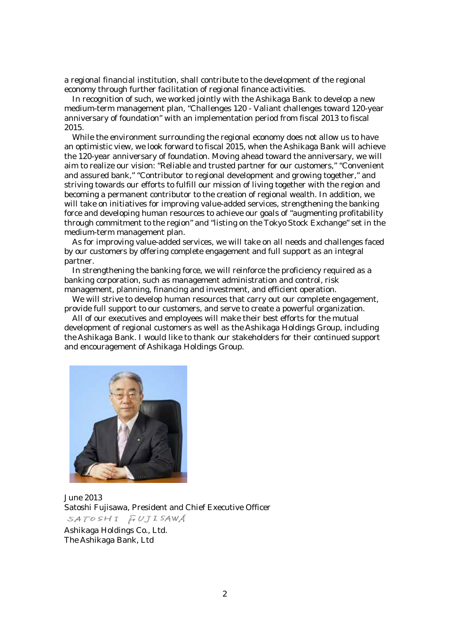a regional financial institution, shall contribute to the development of the regional economy through further facilitation of regional finance activities.

In recognition of such, we worked jointly with the Ashikaga Bank to develop a new medium-term management plan, "Challenges 120 - Valiant challenges toward 120-year anniversary of foundation" with an implementation period from fiscal 2013 to fiscal 2015.

While the environment surrounding the regional economy does not allow us to have an optimistic view, we look forward to fiscal 2015, when the Ashikaga Bank will achieve the 120-year anniversary of foundation. Moving ahead toward the anniversary, we will aim to realize our vision: "Reliable and trusted partner for our customers," "Convenient and assured bank," "Contributor to regional development and growing together," and striving towards our efforts to fulfill our mission of living together with the region and becoming a permanent contributor to the creation of regional wealth. In addition, we will take on initiatives for improving value-added services, strengthening the banking force and developing human resources to achieve our goals of "augmenting profitability through commitment to the region" and "listing on the Tokyo Stock Exchange" set in the medium-term management plan.

As for improving value-added services, we will take on all needs and challenges faced by our customers by offering complete engagement and full support as an integral partner.

In strengthening the banking force, we will reinforce the proficiency required as a banking corporation, such as management administration and control, risk management, planning, financing and investment, and efficient operation.

We will strive to develop human resources that carry out our complete engagement, provide full support to our customers, and serve to create a powerful organization.

All of our executives and employees will make their best efforts for the mutual development of regional customers as well as the Ashikaga Holdings Group, including the Ashikaga Bank. I would like to thank our stakeholders for their continued support and encouragement of Ashikaga Holdings Group.



June 2013 Satoshi Fujisawa, President and Chief Executive Officer SATOSHI FUJISAWA Ashikaga Holdings Co., Ltd. The Ashikaga Bank, Ltd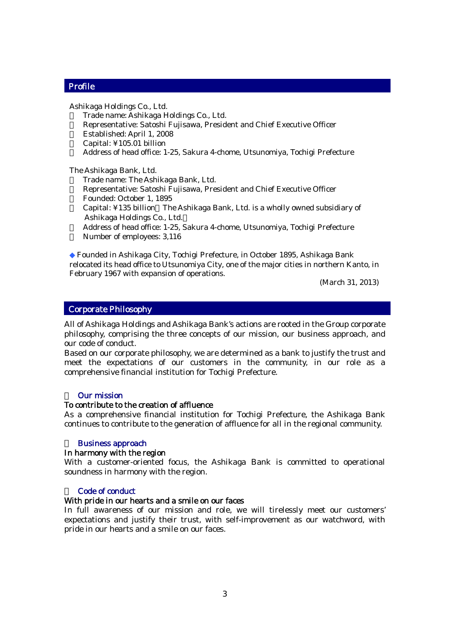#### Profile

.

Ashikaga Holdings Co., Ltd. Trade name: Ashikaga Holdings Co., Ltd. Representative: Satoshi Fujisawa, President and Chief Executive Officer Established: April 1, 2008 Capital: ¥105.01 billion Address of head office: 1-25, Sakura 4-chome, Utsunomiya, Tochigi Prefecture

The Ashikaga Bank, Ltd. ・ Trade name: The Ashikaga Bank, Ltd. Representative: Satoshi Fujisawa, President and Chief Executive Officer Founded: October 1, 1895 Capital: ¥135 billion The Ashikaga Bank, Ltd. is a wholly owned subsidiary of Ashikaga Holdings Co., Ltd. Address of head office: 1-25, Sakura 4-chome, Utsunomiya, Tochigi Prefecture Number of employees: 3,116

Founded in Ashikaga City, Tochigi Prefecture, in October 1895, Ashikaga Bank relocated its head office to Utsunomiya City, one of the major cities in northern Kanto, in February 1967 with expansion of operations.

(March 31, 2013)

#### Corporate Philosophy

All of Ashikaga Holdings and Ashikaga Bank's actions are rooted in the Group corporate philosophy, comprising the three concepts of our mission, our business approach, and our code of conduct.

Based on our corporate philosophy, we are determined as a bank to justify the trust and meet the expectations of our customers in the community, in our role as a comprehensive financial institution for Tochigi Prefecture.

#### **Our mission**

#### To contribute to the creation of affluence

As a comprehensive financial institution for Tochigi Prefecture, the Ashikaga Bank continues to contribute to the generation of affluence for all in the regional community.

#### **Business approach**

#### In harmony with the region

With a customer-oriented focus, the Ashikaga Bank is committed to operational soundness in harmony with the region.

#### Code of conduct

#### With pride in our hearts and a smile on our faces

In full awareness of our mission and role, we will tirelessly meet our customers' expectations and justify their trust, with self-improvement as our watchword, with pride in our hearts and a smile on our faces.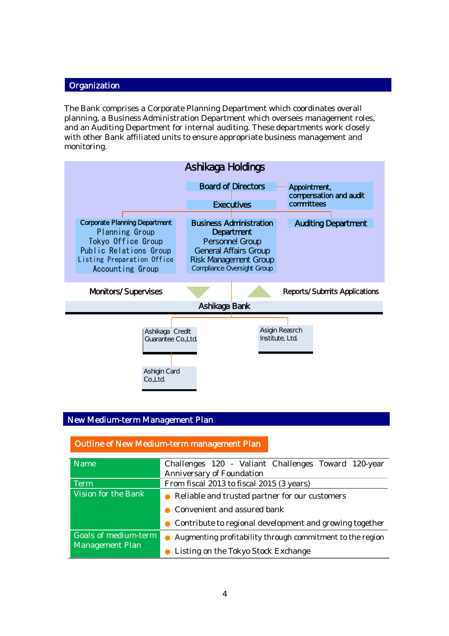#### **Organization**

The Bank comprises a Corporate Planning Department which coordinates overall planning, a Business Administration Department which oversees management roles, and an Auditing Department for internal auditing. These departments work closely with other Bank affiliated units to ensure appropriate business management and monitoring.



#### New Medium-term Management Plan

#### Outline of New Medium-term management Plan

| <b>Name</b>            | Challenges 120 - Valiant Challenges Toward 120-year       |  |  |  |  |  |  |  |
|------------------------|-----------------------------------------------------------|--|--|--|--|--|--|--|
|                        | <b>Anniversary of Foundation</b>                          |  |  |  |  |  |  |  |
| <b>Term</b>            | From fiscal 2013 to fiscal 2015 (3 years)                 |  |  |  |  |  |  |  |
| Vision for the Bank    | Reliable and trusted partner for our customers            |  |  |  |  |  |  |  |
|                        | Convenient and assured bank                               |  |  |  |  |  |  |  |
|                        | Contribute to regional development and growing together   |  |  |  |  |  |  |  |
| Goals of medium-term   | Augmenting profitability through commitment to the region |  |  |  |  |  |  |  |
| <b>Management Plan</b> | Listing on the Tokyo Stock Exchange                       |  |  |  |  |  |  |  |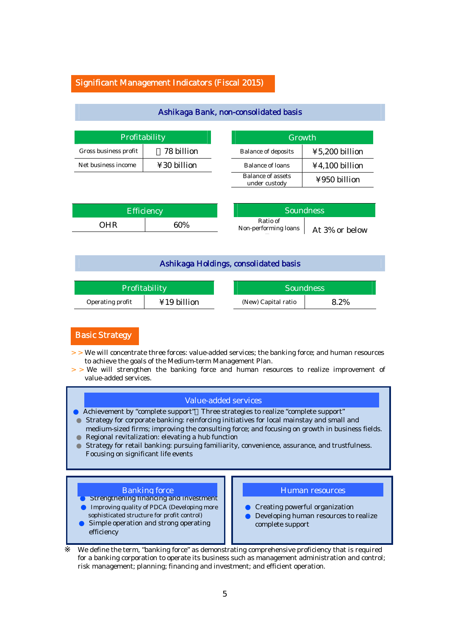#### Significant Management Indicators (Fiscal 2015)

| Profitability         |                         |  |  |  |
|-----------------------|-------------------------|--|--|--|
| Gross business profit | 78 billion              |  |  |  |
| Net business income   | $\text{\yen}30$ billion |  |  |  |

| Growth                                    |                                                     |  |  |
|-------------------------------------------|-----------------------------------------------------|--|--|
| <b>Balance of deposits</b>                | $\textcolor{blue}{\boldsymbol{\Psi}}$ 5,200 billion |  |  |
| <b>Balance of loans</b>                   | ¥4,100 billion                                      |  |  |
| <b>Balance of assets</b><br>under custody | ¥950 billion                                        |  |  |

| <b>Efficiency</b> |     | <b>Soundness</b>                                   |
|-------------------|-----|----------------------------------------------------|
| DHR               | 60% | Ratio of<br>Non-performing loans<br>At 3% or below |

Ashikaga Bank, non-consolidated basis

#### Ashikaga Holdings, consolidated basis

| Profitability    |             | <b>Soundness</b>    |      |  |
|------------------|-------------|---------------------|------|--|
| Operating profit | ¥19 billion | (New) Capital ratio | 8.2% |  |

#### Basic Strategy

- > > We will concentrate three forces: value-added services; the banking force; and human resources to achieve the goals of the Medium-term Management Plan.
- > > We will strengthen the banking force and human resources to realize improvement of value-added services.

#### Value-added services

Achievement by "complete support" Three strategies to realize "complete support" Strategy for corporate banking: reinforcing initiatives for local mainstay and small and medium-sized firms; improving the consulting force; and focusing on growth in business fields. Regional revitalization: elevating a hub function Strategy for retail banking: pursuing familiarity, convenience, assurance, and trustfulness.

Focusing on significant life events

**Strengthening financing and investment** Improving quality of PDCA (Developing more sophisticated structure for profit control) Simple operation and strong operating efficiency

#### Banking force **Human Figure 1 Human resources**

Creating powerful organization Developing human resources to realize complete support

We define the term, "banking force" as demonstrating comprehensive proficiency that is required for a banking corporation to operate its business such as management administration and control; risk management; planning; financing and investment; and efficient operation.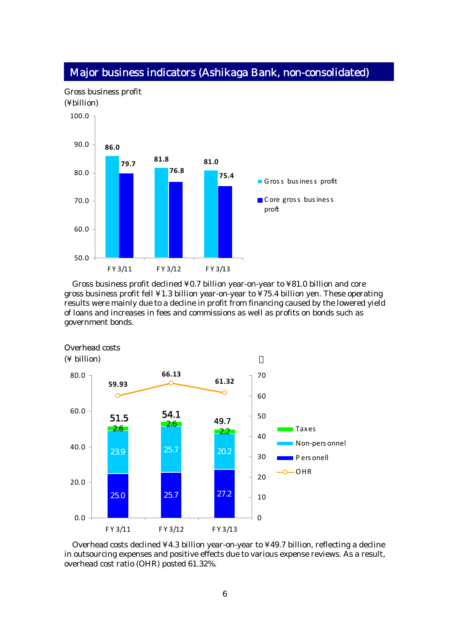

# Major business indicators (Ashikaga Bank, non-consolidated)

Gross business profit declined ¥0.7 billion year-on-year to ¥81.0 billion and core gross business profit fell ¥1.3 billion year-on-year to ¥75.4 billion yen. These operating results were mainly due to a decline in profit from financing caused by the lowered yield of loans and increases in fees and commissions as well as profits on bonds such as government bonds.



#### Overhead costs

(¥ billion)

Overhead costs declined ¥4.3 billion year-on-year to ¥49.7 billion, reflecting a decline in outsourcing expenses and positive effects due to various expense reviews. As a result, overhead cost ratio (OHR) posted 61.32%.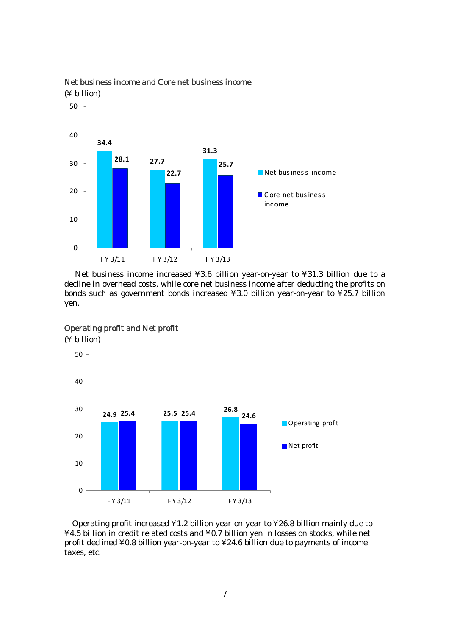

# Net business income and Core net business income (¥ billion)

Net business income increased ¥3.6 billion year-on-year to ¥31.3 billion due to a decline in overhead costs, while core net business income after deducting the profits on bonds such as government bonds increased ¥3.0 billion year-on-year to ¥25.7 billion yen.



#### Operating profit and Net profit

(¥ billion)

Operating profit increased ¥1.2 billion year-on-year to ¥26.8 billion mainly due to ¥4.5 billion in credit related costs and ¥0.7 billion yen in losses on stocks, while net profit declined ¥0.8 billion year-on-year to ¥24.6 billion due to payments of income taxes, etc.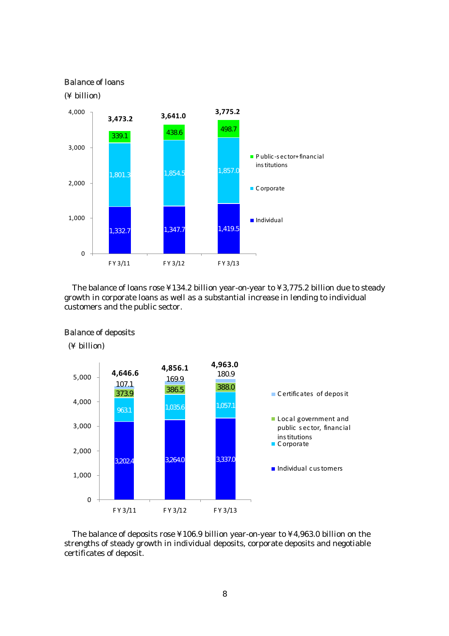#### Balance of loans

#### (¥ billion)



The balance of loans rose ¥134.2 billion year-on-year to ¥3,775.2 billion due to steady growth in corporate loans as well as a substantial increase in lending to individual customers and the public sector.



Balance of deposits

(¥ billion)

The balance of deposits rose ¥106.9 billion year-on-year to ¥4,963.0 billion on the strengths of steady growth in individual deposits, corporate deposits and negotiable certificates of deposit.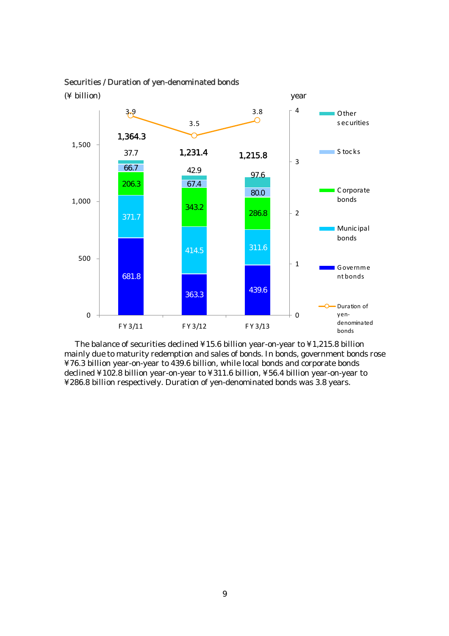

#### Securities / Duration of yen-denominated bonds

The balance of securities declined ¥15.6 billion year-on-year to ¥1,215.8 billion mainly due to maturity redemption and sales of bonds. In bonds, government bonds rose ¥76.3 billion year-on-year to 439.6 billion, while local bonds and corporate bonds declined ¥102.8 billion year-on-year to ¥311.6 billion, ¥56.4 billion year-on-year to ¥286.8 billion respectively. Duration of yen-denominated bonds was 3.8 years.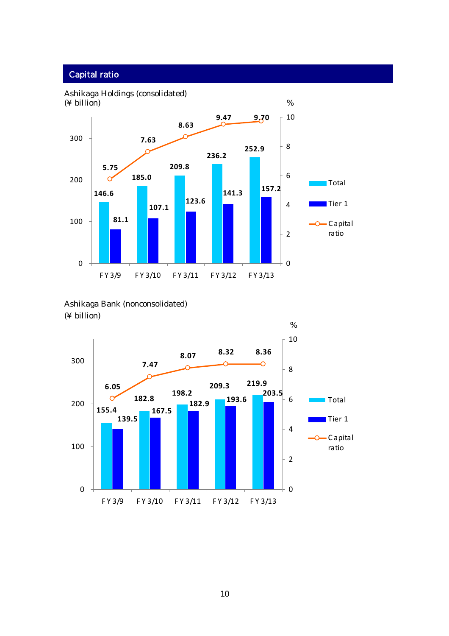# Capital ratio



Ashikaga Bank (nonconsolidated) (¥ billion)

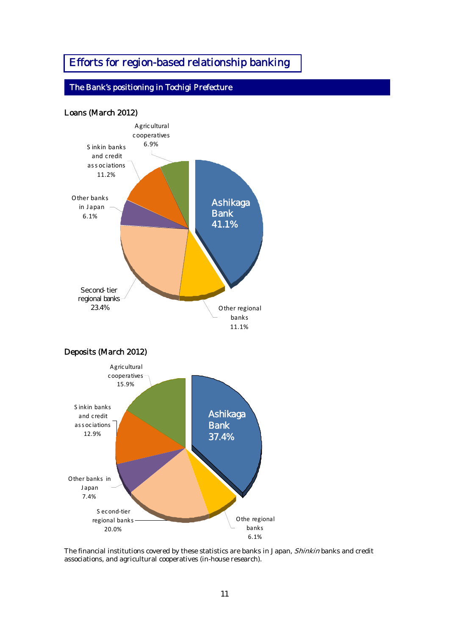# Efforts for region-based relationship banking

# The Bank's positioning in Tochigi Prefecture



The financial institutions covered by these statistics are banks in Japan, Shinkin banks and credit associations, and agricultural cooperatives (in-house research).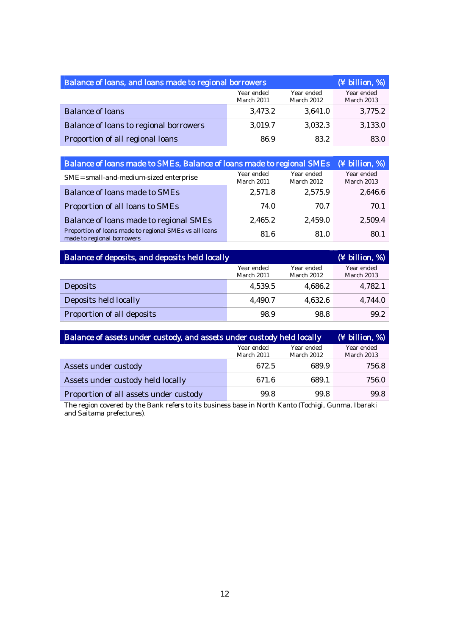| Balance of loans, and loans made to regional borrowers | (¥ billion, %)           |         |         |
|--------------------------------------------------------|--------------------------|---------|---------|
|                                                        | Year ended<br>March 2013 |         |         |
| <b>Balance of loans</b>                                | 3,473.2                  | 3,641.0 | 3,775.2 |
| Balance of loans to regional borrowers                 | 3,019.7                  | 3,032.3 | 3,133.0 |
| Proportion of all regional loans                       | 86.9                     | 83.2    | 83.0    |

| Balance of loans made to SMEs, Balance of loans made to regional SMEs                | (¥ billion, %)           |                          |                          |
|--------------------------------------------------------------------------------------|--------------------------|--------------------------|--------------------------|
| SME= small-and-medium-sized enterprise                                               | Year ended<br>March 2011 | Year ended<br>March 2012 | Year ended<br>March 2013 |
| <b>Balance of loans made to SMEs</b>                                                 | 2,571.8                  | 2,575.9                  | 2,646.6                  |
| Proportion of all loans to SMEs                                                      | 74.0                     | 70.7                     | 70.1                     |
| Balance of loans made to regional SMEs                                               | 2,465.2                  | 2,459.0                  | 2,509.4                  |
| Proportion of loans made to regional SMEs vs all loans<br>made to regional borrowers | 81.6                     | 81.0                     | 80.1                     |

| Balance of deposits, and deposits held locally |                          | $(\frac{1}{2}$ billion, %) |                          |
|------------------------------------------------|--------------------------|----------------------------|--------------------------|
|                                                | Year ended<br>March 2011 | Year ended<br>March 2012   | Year ended<br>March 2013 |
| <b>Deposits</b>                                | 4.539.5                  | 4,686.2                    | 4.782.1                  |
| Deposits held locally                          | 4,490.7                  | 4,632.6                    | 4,744.0                  |
| Proportion of all deposits                     | 98.9                     | 98.8                       | 99.2                     |

| Balance of assets under custody, and assets under custody held locally | $(\frac{1}{2}$ billion, %) |       |       |
|------------------------------------------------------------------------|----------------------------|-------|-------|
|                                                                        | Year ended<br>March 2013   |       |       |
| Assets under custody                                                   | 672.5                      | 689.9 | 756.8 |
| Assets under custody held locally                                      | 671.6                      | 689.1 | 756.0 |
| Proportion of all assets under custody                                 | 99.8                       | 99.8  | 99.8  |

The region covered by the Bank refers to its business base in North Kanto (Tochigi, Gunma, Ibaraki and Saitama prefectures).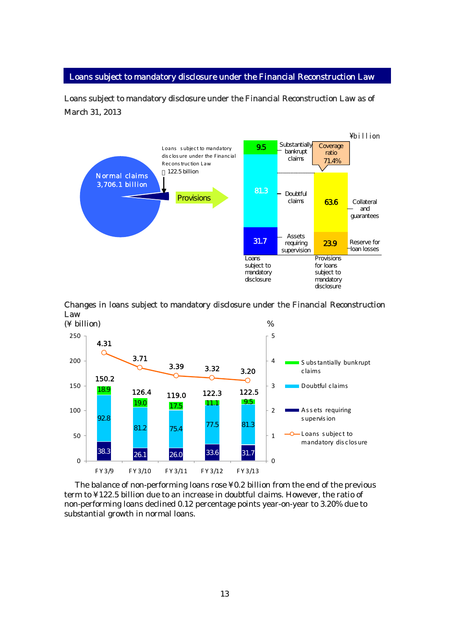#### Loans subject to mandatory disclosure under the Financial Reconstruction Law

Loans subject to mandatory disclosure under the Financial Reconstruction Law as of March 31, 2013



Changes in loans subject to mandatory disclosure under the Financial Reconstruction Law



 The balance of non-performing loans rose ¥0.2 billion from the end of the previous term to ¥122.5 billion due to an increase in doubtful claims. However, the ratio of non-performing loans declined 0.12 percentage points year-on-year to 3.20% due to substantial growth in normal loans.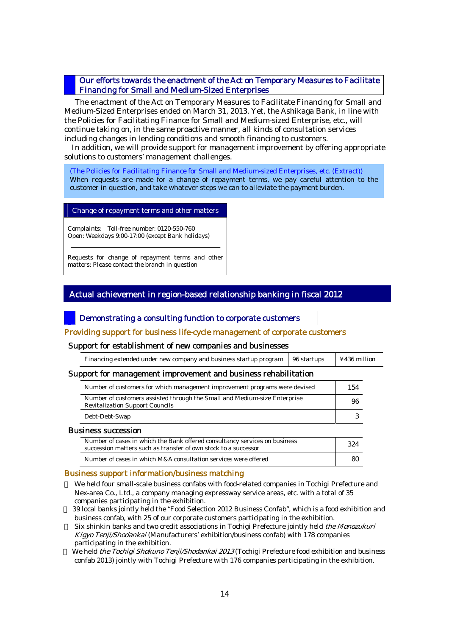#### Our efforts towards the enactment of the Act on Temporary Measures to Facilitate Financing for Small and Medium-Sized Enterprises

The enactment of the Act on Temporary Measures to Facilitate Financing for Small and Medium-Sized Enterprises ended on March 31, 2013. Yet, the Ashikaga Bank, in line with the Policies for Facilitating Finance for Small and Medium-sized Enterprise, etc., will continue taking on, in the same proactive manner, all kinds of consultation services including changes in lending conditions and smooth financing to customers.

In addition, we will provide support for management improvement by offering appropriate solutions to customers' management challenges.

(The Policies for Facilitating Finance for Small and Medium-sized Enterprises, etc. (Extract)) When requests are made for a change of repayment terms, we pay careful attention to the customer in question, and take whatever steps we can to alleviate the payment burden.

#### Change of repayment terms and other matters

Complaints: Toll-free number: 0120-550-760 Open: Weekdays 9:00-17:00 (except Bank holidays)

Requests for change of repayment terms and other matters: Please contact the branch in question

#### Actual achievement in region-based relationship banking in fiscal 2012

#### Demonstrating a consulting function to corporate customers

#### Providing support for business life-cycle management of corporate customers

#### Support for establishment of new companies and businesses

| Financing extended under new company and business startup program   96 startups   ¥436 million |  |                                                                                                                 |  |  |  |  |
|------------------------------------------------------------------------------------------------|--|-----------------------------------------------------------------------------------------------------------------|--|--|--|--|
|                                                                                                |  | the contract of the contract of the contract of the contract of the contract of the contract of the contract of |  |  |  |  |

#### Support for management improvement and business rehabilitation

| Number of customers for which management improvement programs were devised                                          | 154 |
|---------------------------------------------------------------------------------------------------------------------|-----|
| Number of customers assisted through the Small and Medium-size Enterprise<br><b>Revitalization Support Councils</b> | 96  |
| Debt-Debt-Swap                                                                                                      |     |
|                                                                                                                     |     |

#### Business succession

| Number of cases in which the Bank offered consultancy services on business<br>succession matters such as transfer of own stock to a successor | 324 |
|-----------------------------------------------------------------------------------------------------------------------------------------------|-----|
| Number of cases in which M&A consultation services were offered                                                                               |     |

#### Business support information/business matching

We held four small-scale business confabs with food-related companies in Tochigi Prefecture and Nex-area Co., Ltd., a company managing expressway service areas, etc. with a total of 35 companies participating in the exhibition.

39 local banks jointly held the "Food Selection 2012 Business Confab", which is a food exhibition and business confab, with 25 of our corporate customers participating in the exhibition.

Six shinkin banks and two credit associations in Tochigi Prefecture jointly held the Monozukuri Kigyo Tenji/Shodankai (Manufacturers' exhibition/business confab) with 178 companies participating in the exhibition.

We held *the Tochigi Shokuno Tenji/Shodankai 2013* (Tochigi Prefecture food exhibition and business confab 2013) jointly with Tochigi Prefecture with 176 companies participating in the exhibition.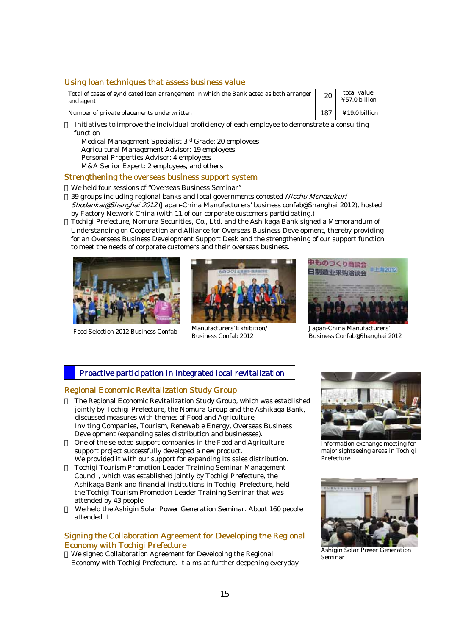#### Using loan techniques that assess business value

| Total of cases of syndicated loan arrangement in which the Bank acted as both arranger<br>and agent | 20   | total value:<br>¥57.0 billion |
|-----------------------------------------------------------------------------------------------------|------|-------------------------------|
| Number of private placements underwritten                                                           | -187 | ¥19.0 billion                 |

Initiatives to improve the individual proficiency of each employee to demonstrate a consulting function

Medical Management Specialist 3rd Grade: 20 employees

Agricultural Management Advisor: 19 employees

Personal Properties Advisor: 4 employees

M&A Senior Expert: 2 employees, and others

#### Strengthening the overseas business support system

We held four sessions of "Overseas Business Seminar"

39 groups including regional banks and local governments cohosted Nicchu Monozukuri

Shodankai@Shanghai 2012 (Japan-China Manufacturers' business confab@Shanghai 2012), hosted by Factory Network China (with 11 of our corporate customers participating.)

Tochigi Prefecture, Nomura Securities, Co., Ltd. and the Ashikaga Bank signed a Memorandum of Understanding on Cooperation and Alliance for Overseas Business Development, thereby providing for an Overseas Business Development Support Desk and the strengthening of our support function to meet the needs of corporate customers and their overseas business.





Food Selection 2012 Business Confab Manufacturers' Exhibition/ Business Confab 2012



Japan-China Manufacturers' Business Confab@Shanghai 2012

#### Proactive participation in integrated local revitalization

#### Regional Economic Revitalization Study Group

The Regional Economic Revitalization Study Group, which was established jointly by Tochigi Prefecture, the Nomura Group and the Ashikaga Bank, discussed measures with themes of Food and Agriculture, Inviting Companies, Tourism, Renewable Energy, Overseas Business Development (expanding sales distribution and businesses). One of the selected support companies in the Food and Agriculture support project successfully developed a new product. We provided it with our support for expanding its sales distribution. Tochigi Tourism Promotion Leader Training Seminar Management Council, which was established jointly by Tochigi Prefecture, the Ashikaga Bank and financial institutions in Tochigi Prefecture, held the Tochigi Tourism Promotion Leader Training Seminar that was attended by 43 people.

We held the Ashigin Solar Power Generation Seminar. About 160 people attended it.

#### Signing the Collaboration Agreement for Developing the Regional Economy with Tochigi Prefecture

We signed Collaboration Agreement for Developing the Regional Economy with Tochigi Prefecture. It aims at further deepening everyday



Information exchange meeting for major sightseeing areas in Tochigi Prefecture



Ashigin Solar Power Generation Seminar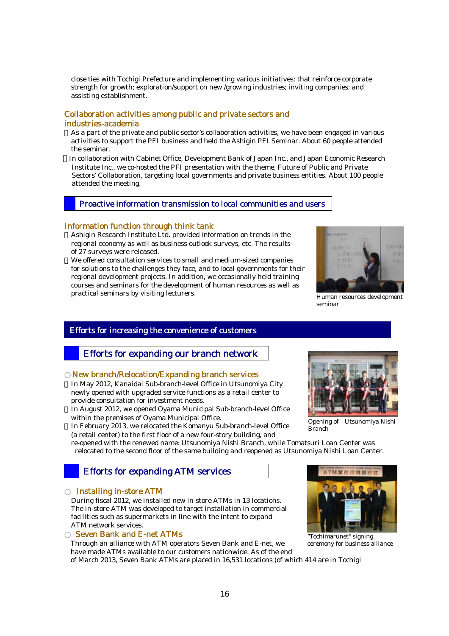close ties with Tochigi Prefecture and implementing various initiatives: that reinforce corporate strength for growth; exploration/support on new /growing industries; inviting companies; and assisting establishment.

#### Collaboration activities among public and private sectors and industries-academia

As a part of the private and public sector's collaboration activities, we have been engaged in various activities to support the PFI business and held the Ashigin PFI Seminar. About 60 people attended the seminar.

In collaboration with Cabinet Office, Development Bank of Japan Inc., and Japan Economic Research Institute Inc., we co-hosted the PFI presentation with the theme, Future of Public and Private Sectors' Collaboration, targeting local governments and private business entities. About 100 people attended the meeting.

#### Proactive information transmission to local communities and users

#### Information function through think tank

Ashigin Research Institute Ltd. provided information on trends in the regional economy as well as business outlook surveys, etc. The results of 27 surveys were released.

We offered consultation services to small and medium-sized companies for solutions to the challenges they face, and to local governments for their regional development projects. In addition, we occasionally held training courses and seminars for the development of human resources as well as practical seminars by visiting lecturers.



Human resources development seminar

#### Efforts for increasing the convenience of customers

# Efforts for expanding our branch network

#### New branch/Relocation/Expanding branch services

In May 2012, Kanaidai Sub-branch-level Office in Utsunomiya City newly opened with upgraded service functions as a retail center to provide consultation for investment needs.

In August 2012, we opened Oyama Municipal Sub-branch-level Office within the premises of Oyama Municipal Office.

In February 2013, we relocated the Komanyu Sub-branch-level Office (a retail center) to the first floor of a new four-story building, and

re-opened with the renewed name: Utsunomiya Nishi Branch, while Tomatsuri Loan Center was relocated to the second floor of the same building and reopened as Utsunomiya Nishi Loan Center.

# Efforts for expanding ATM services

#### Installing in-store ATM

During fiscal 2012, we installed new in-store ATMs in 13 locations. The in-store ATM was developed to target installation in commercial facilities such as supermarkets in line with the intent to expand ATM network services.

#### **Seven Bank and E-net ATMs**

Through an alliance with ATM operators Seven Bank and E-net, we have made ATMs available to our customers nationwide. As of the end of March 2013, Seven Bank ATMs are placed in 16,531 locations (of which 414 are in Tochigi



Opening of Utsunomiya Nishi Branch



"Tochimarunet" signing ceremony for business alliance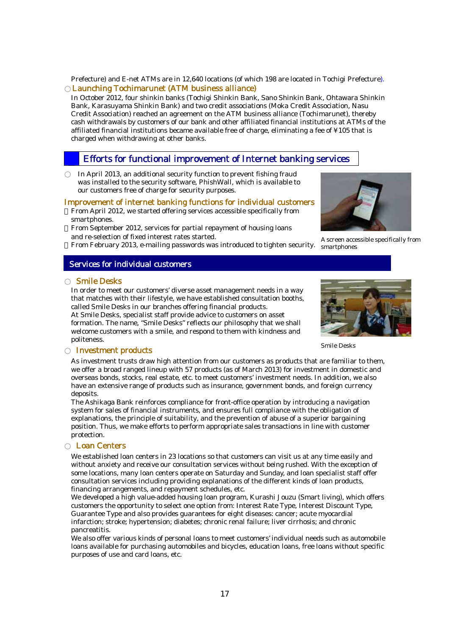#### Prefecture) and E-net ATMs are in 12,640 locations (of which 198 are located in Tochigi Prefecture). Launching Tochimarunet (ATM business alliance)

In October 2012, four shinkin banks (Tochigi Shinkin Bank, Sano Shinkin Bank, Ohtawara Shinkin Bank, Karasuyama Shinkin Bank) and two credit associations (Moka Credit Association, Nasu Credit Association) reached an agreement on the ATM business alliance (Tochimarunet), thereby cash withdrawals by customers of our bank and other affiliated financial institutions at ATMs of the affiliated financial institutions became available free of charge, eliminating a fee of ¥105 that is charged when withdrawing at other banks.

# Efforts for functional improvement of Internet banking services

In April 2013, an additional security function to prevent fishing fraud was installed to the security software, PhishWall, which is available to our customers free of charge for security purposes.

#### Improvement of internet banking functions for individual customers

From April 2012, we started offering services accessible specifically from smartphones.

From September 2012, services for partial repayment of housing loans and re-selection of fixed interest rates started.

From February 2013, e-mailing passwords was introduced to tighten security.

### Services for individual customers

#### **Smile Desks**

L

In order to meet our customers' diverse asset management needs in a way that matches with their lifestyle, we have established consultation booths, called Smile Desks in our branches offering financial products. At Smile Desks, specialist staff provide advice to customers on asset formation. The name, "Smile Desks" reflects our philosophy that we shall welcome customers with a smile, and respond to them with kindness and politeness.

#### Smile Desks

#### Investment products

As investment trusts draw high attention from our customers as products that are familiar to them, we offer a broad ranged lineup with 57 products (as of March 2013) for investment in domestic and overseas bonds, stocks, real estate, etc. to meet customers' investment needs. In addition, we also have an extensive range of products such as insurance, government bonds, and foreign currency deposits.

The Ashikaga Bank reinforces compliance for front-office operation by introducing a navigation system for sales of financial instruments, and ensures full compliance with the obligation of explanations, the principle of suitability, and the prevention of abuse of a superior bargaining position. Thus, we make efforts to perform appropriate sales transactions in line with customer protection.

#### Loan Centers

We established loan centers in 23 locations so that customers can visit us at any time easily and without anxiety and receive our consultation services without being rushed. With the exception of some locations, many loan centers operate on Saturday and Sunday, and loan specialist staff offer consultation services including providing explanations of the different kinds of loan products, financing arrangements, and repayment schedules, etc.

We developed a high value-added housing loan program, Kurashi Jouzu (Smart living), which offers customers the opportunity to select one option from: Interest Rate Type, Interest Discount Type, Guarantee Type and also provides guarantees for eight diseases: cancer; acute myocardial infarction; stroke; hypertension; diabetes; chronic renal failure; liver cirrhosis; and chronic pancreatitis.

We also offer various kinds of personal loans to meet customers' individual needs such as automobile loans available for purchasing automobiles and bicycles, education loans, free loans without specific purposes of use and card loans, etc.



A screen accessible specifically from smartphones

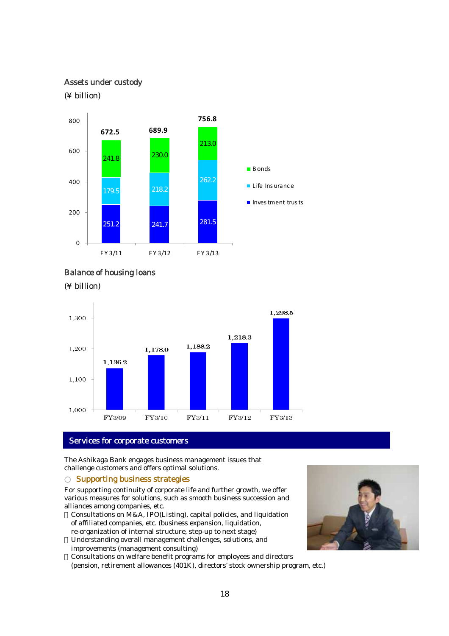#### Assets under custody

#### (¥ billion)





(¥ billion)



#### Services for corporate customers

The Ashikaga Bank engages business management issues that challenge customers and offers optimal solutions.

#### **Supporting business strategies**

For supporting continuity of corporate life and further growth, we offer various measures for solutions, such as smooth business succession and alliances among companies, etc.

Consultations on M&A, IPO(Listing), capital policies, and liquidation of affiliated companies, etc. (business expansion, liquidation, re-organization of internal structure, step-up to next stage) Understanding overall management challenges, solutions, and improvements (management consulting)

Consultations on welfare benefit programs for employees and directors (pension, retirement allowances (401K), directors' stock ownership program, etc.)

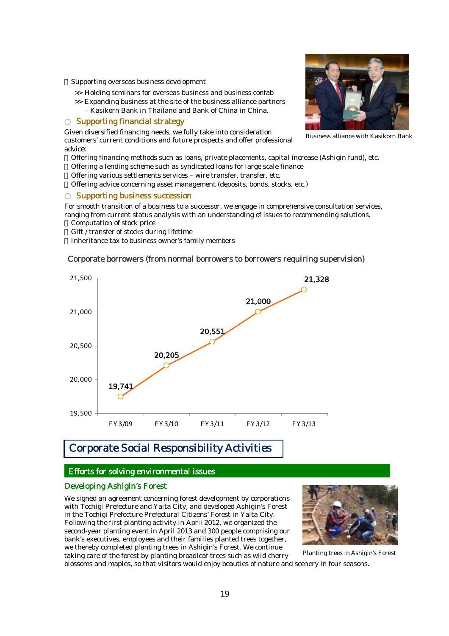Supporting overseas business development

- >> Holding seminars for overseas business and business confab
- $\gg$  Expanding business at the site of the business alliance partners
- Kasikorn Bank in Thailand and Bank of China in China.

#### Supporting financial strategy

Given diversified financing needs, we fully take into consideration customers' current conditions and future prospects and offer professional advice:

Offering financing methods such as loans, private placements, capital increase (Ashigin fund), etc. Offering a lending scheme such as syndicated loans for large scale finance

Offering various settlements services – wire transfer, transfer, etc.

Offering advice concerning asset management (deposits, bonds, stocks, etc.)

#### Supporting business succession

For smooth transition of a business to a successor, we engage in comprehensive consultation services, ranging from current status analysis with an understanding of issues to recommending solutions.

Computation of stock price

Gift / transfer of stocks during lifetime

Inheritance tax to business owner's family members

#### Corporate borrowers (from normal borrowers to borrowers requiring supervision)



# Corporate Social Responsibility Activities

#### Efforts for solving environmental issues

#### Developing Ashigin's Forest

We signed an agreement concerning forest development by corporations with Tochigi Prefecture and Yaita City, and developed Ashigin's Forest in the Tochigi Prefecture Prefectural Citizens' Forest in Yaita City. Following the first planting activity in April 2012, we organized the second-year planting event in April 2013 and 300 people comprising our bank's executives, employees and their families planted trees together, we thereby completed planting trees in Ashigin's Forest. We continue taking care of the forest by planting broadleaf trees such as wild cherry



blossoms and maples, so that visitors would enjoy beauties of nature and scenery in four seasons. Planting trees in Ashigin's Forest



Business alliance with Kasikorn Bank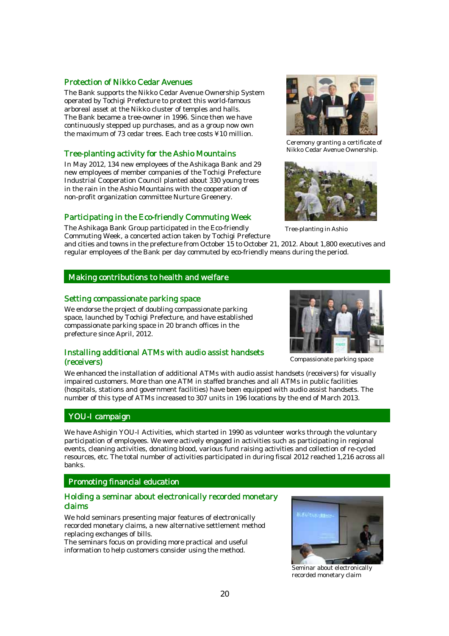#### Protection of Nikko Cedar Avenues

The Bank supports the Nikko Cedar Avenue Ownership System operated by Tochigi Prefecture to protect this world-famous arboreal asset at the Nikko cluster of temples and halls. The Bank became a tree-owner in 1996. Since then we have continuously stepped up purchases, and as a group now own the maximum of 73 cedar trees. Each tree costs ¥10 million.

#### Tree-planting activity for the Ashio Mountains

In May 2012, 134 new employees of the Ashikaga Bank and 29 new employees of member companies of the Tochigi Prefecture Industrial Cooperation Council planted about 330 young trees in the rain in the Ashio Mountains with the cooperation of non-profit organization committee Nurture Greenery.

#### Participating in the Eco-friendly Commuting Week

The Ashikaga Bank Group participated in the Eco-friendly Commuting Week, a concerted action taken by Tochigi Prefecture

and cities and towns in the prefecture from October 15 to October 21, 2012. About 1,800 executives and regular employees of the Bank per day commuted by eco-friendly means during the period.

#### Making contributions to health and welfare

#### Setting compassionate parking space

We endorse the project of doubling compassionate parking space, launched by Tochigi Prefecture, and have established compassionate parking space in 20 branch offices in the prefecture since April, 2012.

#### Installing additional ATMs with audio assist handsets (receivers)



Ceremony granting a certificate of Nikko Cedar Avenue Ownership.



Tree-planting in Ashio



Compassionate parking space

We enhanced the installation of additional ATMs with audio assist handsets (receivers) for visually impaired customers. More than one ATM in staffed branches and all ATMs in public facilities (hospitals, stations and government facilities) have been equipped with audio assist handsets. The number of this type of ATMs increased to 307 units in 196 locations by the end of March 2013.

#### YOU-I campaign

We have Ashigin YOU-I Activities, which started in 1990 as volunteer works through the voluntary participation of employees. We were actively engaged in activities such as participating in regional events, cleaning activities, donating blood, various fund raising activities and collection of re-cycled resources, etc. The total number of activities participated in during fiscal 2012 reached 1,216 across all banks.

# Promoting financial education Promoting financial education

#### Holding a seminar about electronically recorded monetary claims

We hold seminars presenting major features of electronically recorded monetary claims, a new alternative settlement method replacing exchanges of bills.

The seminars focus on providing more practical and useful information to help customers consider using the method.



Seminar about electronically recorded monetary claim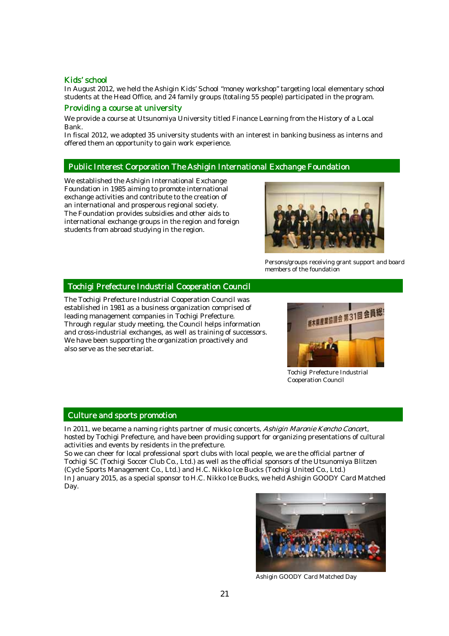#### Kids' school

In August 2012, we held the Ashigin Kids' School "money workshop" targeting local elementary school students at the Head Office, and 24 family groups (totaling 55 people) participated in the program.

#### Providing a course at university

We provide a course at Utsunomiya University titled Finance Learning from the History of a Local Bank.

In fiscal 2012, we adopted 35 university students with an interest in banking business as interns and offered them an opportunity to gain work experience.

#### ī Public Interest Corporation The Ashigin International Exchange Foundation

We established the Ashigin International Exchange Foundation in 1985 aiming to promote international exchange activities and contribute to the creation of an international and prosperous regional society. The Foundation provides subsidies and other aids to international exchange groups in the region and foreign students from abroad studying in the region.



Persons/groups receiving grant support and board members of the foundation

#### Tochigi Prefecture Industrial Cooperation Council

The Tochigi Prefecture Industrial Cooperation Council was established in 1981 as a business organization comprised of leading management companies in Tochigi Prefecture. Through regular study meeting, the Council helps information and cross-industrial exchanges, as well as training of successors. We have been supporting the organization proactively and also serve as the secretariat.



Tochigi Prefecture Industrial Cooperation Council

#### ī Culture and sports promotion

In 2011, we became a naming rights partner of music concerts, Ashigin Maronie Kencho Concert, hosted by Tochigi Prefecture, and have been providing support for organizing presentations of cultural activities and events by residents in the prefecture.

So we can cheer for local professional sport clubs with local people, we are the official partner of Tochigi SC (Tochigi Soccer Club Co., Ltd.) as well as the official sponsors of the Utsunomiya Blitzen (Cycle Sports Management Co., Ltd.) and H.C. Nikko Ice Bucks (Tochigi United Co., Ltd.) In January 2015, as a special sponsor to H.C. Nikko Ice Bucks, we held Ashigin GOODY Card Matched Day.



Ashigin GOODY Card Matched Day